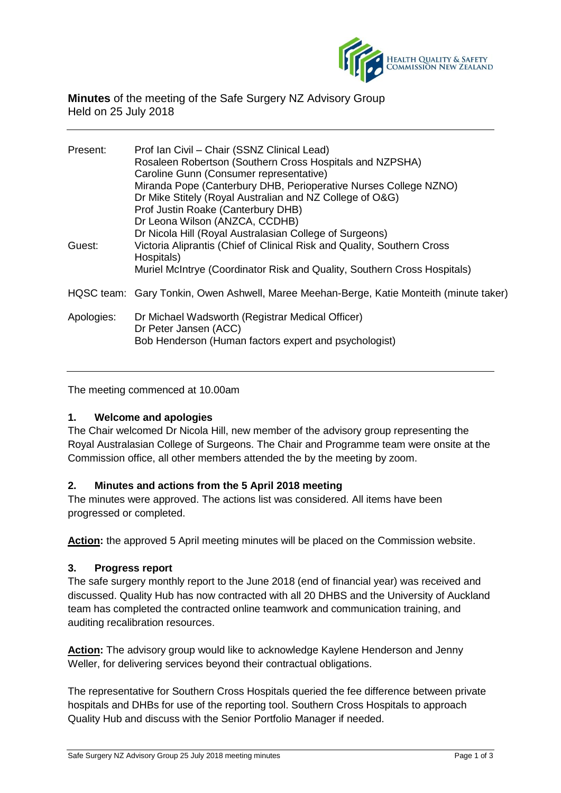

**Minutes** of the meeting of the Safe Surgery NZ Advisory Group Held on 25 July 2018

| Present:   | Prof Ian Civil - Chair (SSNZ Clinical Lead)                                             |
|------------|-----------------------------------------------------------------------------------------|
|            | Rosaleen Robertson (Southern Cross Hospitals and NZPSHA)                                |
|            | Caroline Gunn (Consumer representative)                                                 |
|            | Miranda Pope (Canterbury DHB, Perioperative Nurses College NZNO)                        |
|            | Dr Mike Stitely (Royal Australian and NZ College of O&G)                                |
|            | Prof Justin Roake (Canterbury DHB)                                                      |
|            | Dr Leona Wilson (ANZCA, CCDHB)                                                          |
|            | Dr Nicola Hill (Royal Australasian College of Surgeons)                                 |
| Guest:     | Victoria Aliprantis (Chief of Clinical Risk and Quality, Southern Cross<br>Hospitals)   |
|            | Muriel McIntrye (Coordinator Risk and Quality, Southern Cross Hospitals)                |
|            | HQSC team: Gary Tonkin, Owen Ashwell, Maree Meehan-Berge, Katie Monteith (minute taker) |
| Apologies: | Dr Michael Wadsworth (Registrar Medical Officer)<br>Dr Peter Jansen (ACC)               |
|            | Bob Henderson (Human factors expert and psychologist)                                   |
|            |                                                                                         |

The meeting commenced at 10.00am

## **1. Welcome and apologies**

The Chair welcomed Dr Nicola Hill, new member of the advisory group representing the Royal Australasian College of Surgeons. The Chair and Programme team were onsite at the Commission office, all other members attended the by the meeting by zoom.

## **2. Minutes and actions from the 5 April 2018 meeting**

The minutes were approved. The actions list was considered. All items have been progressed or completed.

**Action:** the approved 5 April meeting minutes will be placed on the Commission website.

## **3. Progress report**

The safe surgery monthly report to the June 2018 (end of financial year) was received and discussed. Quality Hub has now contracted with all 20 DHBS and the University of Auckland team has completed the contracted online teamwork and communication training, and auditing recalibration resources.

**Action:** The advisory group would like to acknowledge Kaylene Henderson and Jenny Weller, for delivering services beyond their contractual obligations.

The representative for Southern Cross Hospitals queried the fee difference between private hospitals and DHBs for use of the reporting tool. Southern Cross Hospitals to approach Quality Hub and discuss with the Senior Portfolio Manager if needed.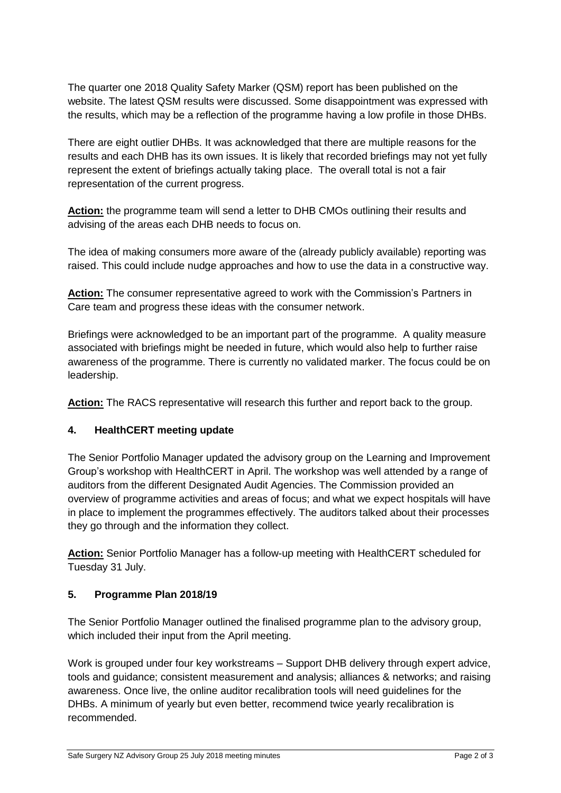The quarter one 2018 Quality Safety Marker (QSM) report has been published on the website. The latest QSM results were discussed. Some disappointment was expressed with the results, which may be a reflection of the programme having a low profile in those DHBs.

There are eight outlier DHBs. It was acknowledged that there are multiple reasons for the results and each DHB has its own issues. It is likely that recorded briefings may not yet fully represent the extent of briefings actually taking place. The overall total is not a fair representation of the current progress.

Action: the programme team will send a letter to DHB CMOs outlining their results and advising of the areas each DHB needs to focus on.

The idea of making consumers more aware of the (already publicly available) reporting was raised. This could include nudge approaches and how to use the data in a constructive way.

**Action:** The consumer representative agreed to work with the Commission's Partners in Care team and progress these ideas with the consumer network.

Briefings were acknowledged to be an important part of the programme. A quality measure associated with briefings might be needed in future, which would also help to further raise awareness of the programme. There is currently no validated marker. The focus could be on leadership.

**Action:** The RACS representative will research this further and report back to the group.

# **4. HealthCERT meeting update**

The Senior Portfolio Manager updated the advisory group on the Learning and Improvement Group's workshop with HealthCERT in April. The workshop was well attended by a range of auditors from the different Designated Audit Agencies. The Commission provided an overview of programme activities and areas of focus; and what we expect hospitals will have in place to implement the programmes effectively. The auditors talked about their processes they go through and the information they collect.

**Action:** Senior Portfolio Manager has a follow-up meeting with HealthCERT scheduled for Tuesday 31 July.

## **5. Programme Plan 2018/19**

The Senior Portfolio Manager outlined the finalised programme plan to the advisory group, which included their input from the April meeting.

Work is grouped under four key workstreams – Support DHB delivery through expert advice, tools and guidance; consistent measurement and analysis; alliances & networks; and raising awareness. Once live, the online auditor recalibration tools will need guidelines for the DHBs. A minimum of yearly but even better, recommend twice yearly recalibration is recommended.